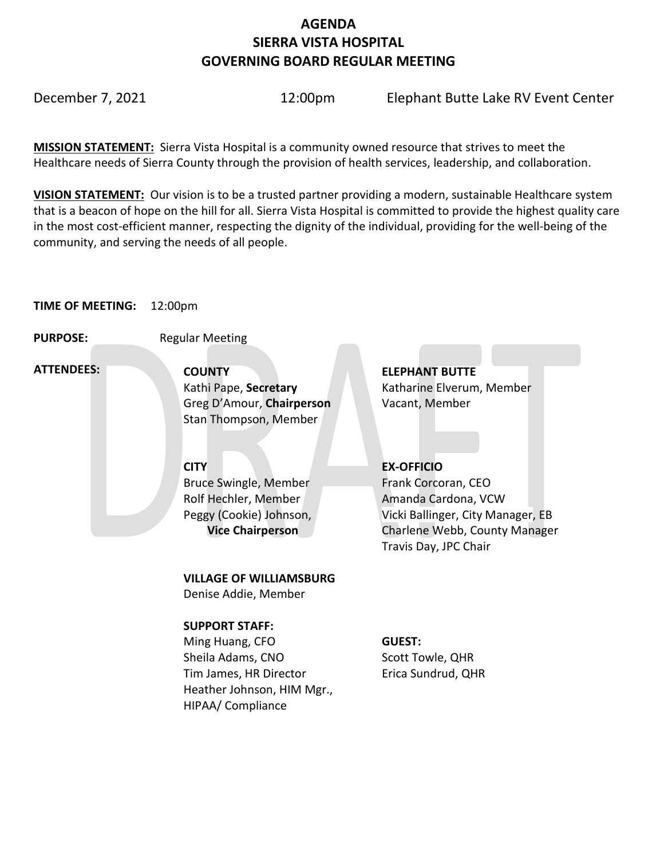## **AGENDA SIERRA VISTA HOSPITAL GOVERNING BOARD REGULAR MEETING**

December 7, 2021 12:00pm Elephant Butte Lake RV Event Center

**MISSION STATEMENT:** Sierra Vista Hospital is a community owned resource that strives to meet the Healthcare needs of Sierra County through the provision of health services, leadership, and collaboration.

**VISION STATEMENT:** Our vision is to be a trusted partner providing a modern, sustainable Healthcare system that is a beacon of hope on the hill for all. Sierra Vista Hospital is committed to provide the highest quality care in the most cost-efficient manner, respecting the dignity of the individual, providing for the well-being of the community, and serving the needs of all people.

#### **TIME OF MEETING:** 12:00pm

**PURPOSE:** Regular Meeting

 **ATTENDEES:**

**COUNTY ELEPHANT BUTTE**  Kathi Pape, **Secretary Katharine Elverum, Member** Greg D'Amour, **Chairperson** Vacant, Member Stan Thompson, Member

Bruce Swingle, Member Rolf Hechler, Member Peggy (Cookie) Johnson,  **Vice Chairperson**

**VILLAGE OF WILLIAMSBURG**

Denise Addie, Member

#### **SUPPORT STAFF:**

Ming Huang, CFO Sheila Adams, CNO Tim James, HR Director Heather Johnson, HIM Mgr., HIPAA/ Compliance

### **CITY EX-OFFICIO**

Frank Corcoran, CEO Amanda Cardona, VCW Vicki Ballinger, City Manager, EB Charlene Webb, County Manager Travis Day, JPC Chair

### **GUEST:**

Scott Towle, QHR Erica Sundrud, QHR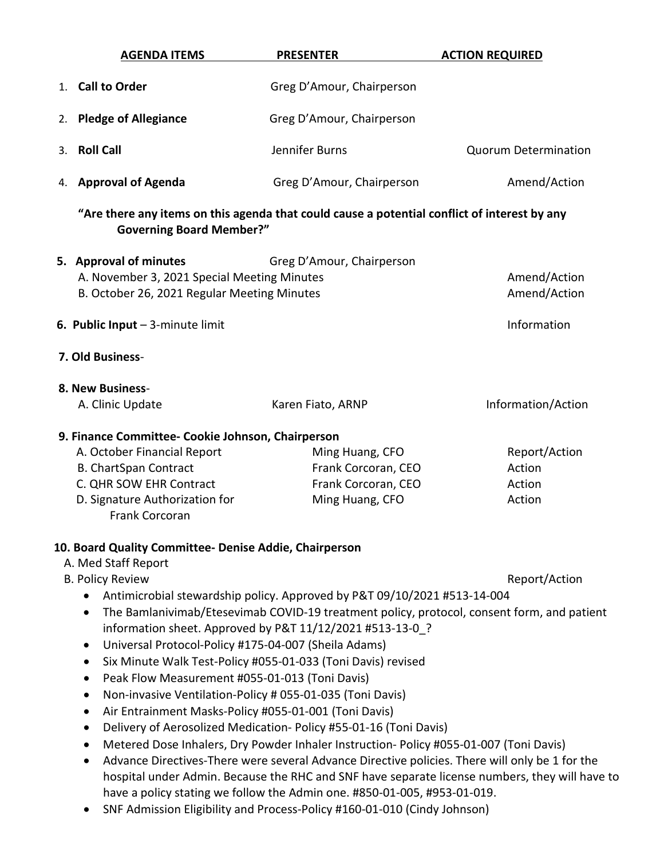| <b>AGENDA ITEMS</b>                                                                                                                                                                             | <b>PRESENTER</b>                                                                                                                                                                                                                                                                                                                                                                                                                                                                                                                                                                                                                                                         | <b>ACTION REQUIRED</b>                      |
|-------------------------------------------------------------------------------------------------------------------------------------------------------------------------------------------------|--------------------------------------------------------------------------------------------------------------------------------------------------------------------------------------------------------------------------------------------------------------------------------------------------------------------------------------------------------------------------------------------------------------------------------------------------------------------------------------------------------------------------------------------------------------------------------------------------------------------------------------------------------------------------|---------------------------------------------|
| 1. Call to Order                                                                                                                                                                                | Greg D'Amour, Chairperson                                                                                                                                                                                                                                                                                                                                                                                                                                                                                                                                                                                                                                                |                                             |
| <b>Pledge of Allegiance</b><br>2.                                                                                                                                                               | Greg D'Amour, Chairperson                                                                                                                                                                                                                                                                                                                                                                                                                                                                                                                                                                                                                                                |                                             |
| <b>Roll Call</b><br>3.                                                                                                                                                                          | Jennifer Burns                                                                                                                                                                                                                                                                                                                                                                                                                                                                                                                                                                                                                                                           | <b>Quorum Determination</b>                 |
| <b>Approval of Agenda</b><br>4.                                                                                                                                                                 | Greg D'Amour, Chairperson                                                                                                                                                                                                                                                                                                                                                                                                                                                                                                                                                                                                                                                | Amend/Action                                |
| <b>Governing Board Member?"</b>                                                                                                                                                                 | "Are there any items on this agenda that could cause a potential conflict of interest by any                                                                                                                                                                                                                                                                                                                                                                                                                                                                                                                                                                             |                                             |
| 5. Approval of minutes<br>A. November 3, 2021 Special Meeting Minutes<br>B. October 26, 2021 Regular Meeting Minutes                                                                            | Greg D'Amour, Chairperson                                                                                                                                                                                                                                                                                                                                                                                                                                                                                                                                                                                                                                                | Amend/Action<br>Amend/Action                |
| 6. Public Input $-$ 3-minute limit                                                                                                                                                              |                                                                                                                                                                                                                                                                                                                                                                                                                                                                                                                                                                                                                                                                          | Information                                 |
| 7. Old Business-                                                                                                                                                                                |                                                                                                                                                                                                                                                                                                                                                                                                                                                                                                                                                                                                                                                                          |                                             |
| 8. New Business-                                                                                                                                                                                |                                                                                                                                                                                                                                                                                                                                                                                                                                                                                                                                                                                                                                                                          |                                             |
| A. Clinic Update                                                                                                                                                                                | Karen Fiato, ARNP                                                                                                                                                                                                                                                                                                                                                                                                                                                                                                                                                                                                                                                        | Information/Action                          |
| 9. Finance Committee- Cookie Johnson, Chairperson<br>A. October Financial Report<br><b>B. ChartSpan Contract</b><br>C. QHR SOW EHR Contract<br>D. Signature Authorization for<br>Frank Corcoran | Ming Huang, CFO<br>Frank Corcoran, CEO<br>Frank Corcoran, CEO<br>Ming Huang, CFO                                                                                                                                                                                                                                                                                                                                                                                                                                                                                                                                                                                         | Report/Action<br>Action<br>Action<br>Action |
| 10. Board Quality Committee- Denise Addie, Chairperson                                                                                                                                          |                                                                                                                                                                                                                                                                                                                                                                                                                                                                                                                                                                                                                                                                          |                                             |
| A. Med Staff Report<br><b>B. Policy Review</b><br>$\bullet$                                                                                                                                     | Antimicrobial stewardship policy. Approved by P&T 09/10/2021 #513-14-004<br>The Bamlanivimab/Etesevimab COVID-19 treatment policy, protocol, consent form, and patient                                                                                                                                                                                                                                                                                                                                                                                                                                                                                                   | Report/Action                               |
| $\bullet$<br>$\bullet$<br>Peak Flow Measurement #055-01-013 (Toni Davis)<br>$\bullet$<br>$\bullet$<br>$\bullet$<br>$\bullet$<br>٠<br>$\bullet$                                                  | information sheet. Approved by P&T 11/12/2021 #513-13-0 ?<br>Universal Protocol-Policy #175-04-007 (Sheila Adams)<br>Six Minute Walk Test-Policy #055-01-033 (Toni Davis) revised<br>Non-invasive Ventilation-Policy # 055-01-035 (Toni Davis)<br>Air Entrainment Masks-Policy #055-01-001 (Toni Davis)<br>Delivery of Aerosolized Medication-Policy #55-01-16 (Toni Davis)<br>Metered Dose Inhalers, Dry Powder Inhaler Instruction-Policy #055-01-007 (Toni Davis)<br>Advance Directives-There were several Advance Directive policies. There will only be 1 for the<br>hospital under Admin. Because the RHC and SNF have separate license numbers, they will have to |                                             |
|                                                                                                                                                                                                 | have a policy stating we follow the Admin one. #850-01-005, #953-01-019.<br>SNF Admission Eligibility and Process-Policy #160-01-010 (Cindy Johnson)                                                                                                                                                                                                                                                                                                                                                                                                                                                                                                                     |                                             |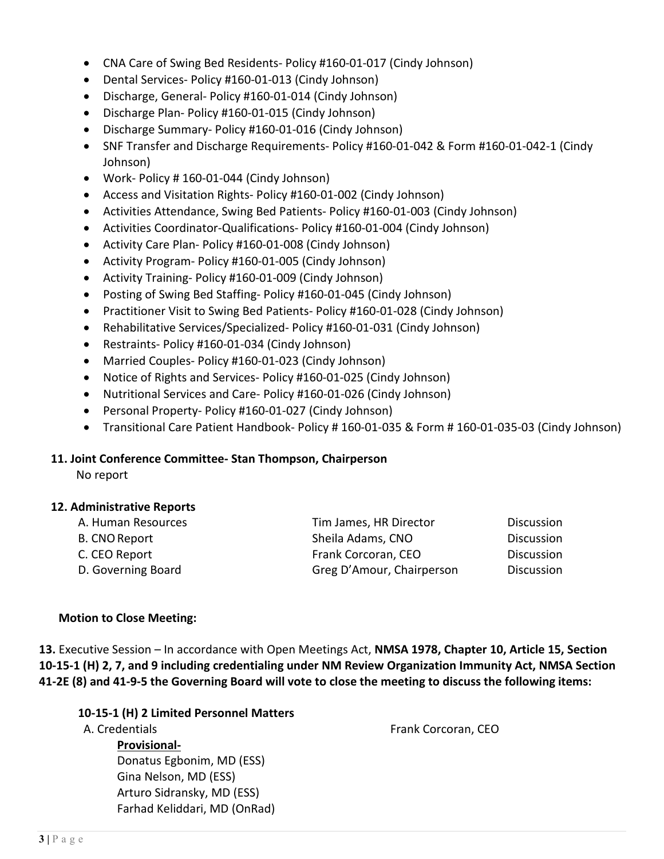- CNA Care of Swing Bed Residents- Policy #160-01-017 (Cindy Johnson)
- Dental Services- Policy #160-01-013 (Cindy Johnson)
- Discharge, General- Policy #160-01-014 (Cindy Johnson)
- Discharge Plan- Policy #160-01-015 (Cindy Johnson)
- Discharge Summary- Policy #160-01-016 (Cindy Johnson)
- SNF Transfer and Discharge Requirements- Policy #160-01-042 & Form #160-01-042-1 (Cindy Johnson)
- Work- Policy # 160-01-044 (Cindy Johnson)
- Access and Visitation Rights- Policy #160-01-002 (Cindy Johnson)
- Activities Attendance, Swing Bed Patients- Policy #160-01-003 (Cindy Johnson)
- Activities Coordinator-Qualifications- Policy #160-01-004 (Cindy Johnson)
- Activity Care Plan- Policy #160-01-008 (Cindy Johnson)
- Activity Program- Policy #160-01-005 (Cindy Johnson)
- Activity Training- Policy #160-01-009 (Cindy Johnson)
- Posting of Swing Bed Staffing- Policy #160-01-045 (Cindy Johnson)
- Practitioner Visit to Swing Bed Patients- Policy #160-01-028 (Cindy Johnson)
- Rehabilitative Services/Specialized- Policy #160-01-031 (Cindy Johnson)
- Restraints- Policy #160-01-034 (Cindy Johnson)
- Married Couples- Policy #160-01-023 (Cindy Johnson)
- Notice of Rights and Services- Policy #160-01-025 (Cindy Johnson)
- Nutritional Services and Care- Policy #160-01-026 (Cindy Johnson)
- Personal Property- Policy #160-01-027 (Cindy Johnson)
- Transitional Care Patient Handbook- Policy # 160-01-035 & Form # 160-01-035-03 (Cindy Johnson)

#### **11. Joint Conference Committee- Stan Thompson, Chairperson**

No report

#### **12. Administrative Reports**

| A. Human Resources   | Tim James, HR Director    | <b>Discussion</b> |
|----------------------|---------------------------|-------------------|
| <b>B. CNO Report</b> | Sheila Adams, CNO         | <b>Discussion</b> |
| C. CEO Report        | Frank Corcoran, CEO       | <b>Discussion</b> |
| D. Governing Board   | Greg D'Amour, Chairperson | <b>Discussion</b> |

#### **Motion to Close Meeting:**

**13.** Executive Session – In accordance with Open Meetings Act, **NMSA 1978, Chapter 10, Article 15, Section 10-15-1 (H) 2, 7, and 9 including credentialing under NM Review Organization Immunity Act, NMSA Section 41-2E (8) and 41-9-5 the Governing Board will vote to close the meeting to discuss the following items:**

| 10-15-1 (H) 2 Limited Personnel Matters |                     |
|-----------------------------------------|---------------------|
| A. Credentials                          | Frank Corcoran, CEO |
| <b>Provisional-</b>                     |                     |
| Donatus Egbonim, MD (ESS)               |                     |
| Gina Nelson, MD (ESS)                   |                     |
| Arturo Sidransky, MD (ESS)              |                     |
| Farhad Keliddari, MD (OnRad)            |                     |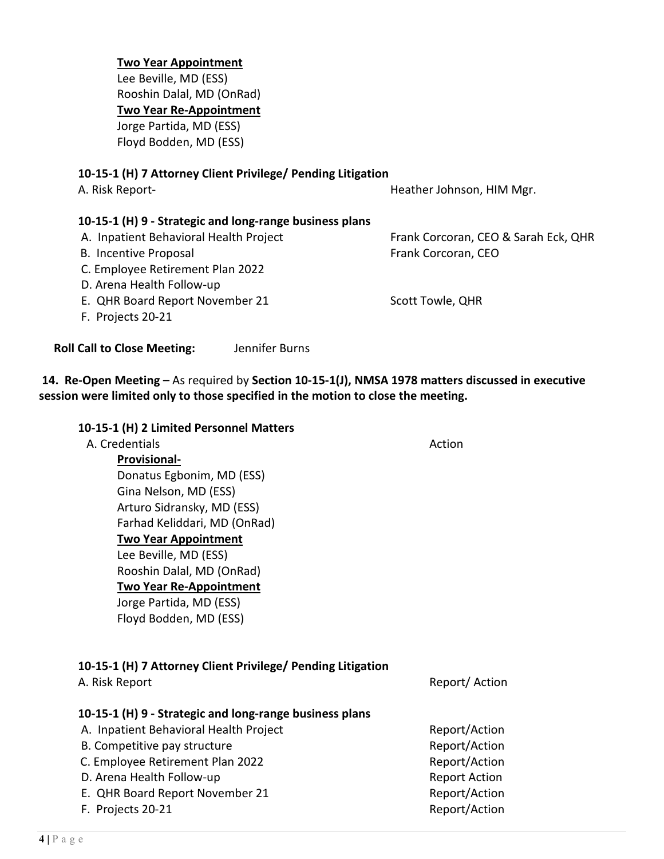#### **Two Year Appointment**

Lee Beville, MD (ESS) Rooshin Dalal, MD (OnRad) **Two Year Re-Appointment** Jorge Partida, MD (ESS)

Floyd Bodden, MD (ESS)

#### **10-15-1 (H) 7 Attorney Client Privilege/ Pending Litigation**

**10-15-1 (H) 9 - Strategic and long-range business plans** 

A. Risk Report- **Heather Johnson, HIM Mgr.** A. Risk Report-

A. Inpatient Behavioral Health Project Frank Corcoran, CEO & Sarah Eck, QHR

- B. Incentive Proposal **Example 20 and Trank Corcoran**, CEO
- C. Employee Retirement Plan 2022
- D. Arena Health Follow-up
- E. QHR Board Report November 21 Scott Towle, QHR
- F. Projects 20-21

 **Roll Call to Close Meeting:** Jennifer Burns

**10-15-1 (H) 2 Limited Personnel Matters**

**14. Re-Open Meeting** – As required by **Section 10-15-1(J), NMSA 1978 matters discussed in executive session were limited only to those specified in the motion to close the meeting.**

| A. Credentials               | Action |
|------------------------------|--------|
| <b>Provisional-</b>          |        |
| Donatus Egbonim, MD (ESS)    |        |
| Gina Nelson, MD (ESS)        |        |
| Arturo Sidransky, MD (ESS)   |        |
| Farhad Keliddari, MD (OnRad) |        |
| <b>Two Year Appointment</b>  |        |
| Lee Beville, MD (ESS)        |        |
| Rooshin Dalal, MD (OnRad)    |        |
|                              |        |

**Two Year Re-Appointment**

Jorge Partida, MD (ESS)

Floyd Bodden, MD (ESS)

# **10-15-1 (H) 7 Attorney Client Privilege/ Pending Litigation**

| A. KISK REDOIT                                          |
|---------------------------------------------------------|
| 10-15-1 (H) 9 - Strategic and long-range business plans |
| A. Inpatient Behavioral Health Project                  |

| B. Competitive pay structure     | Report/Action        |
|----------------------------------|----------------------|
| C. Employee Retirement Plan 2022 | Report/Action        |
| D. Arena Health Follow-up        | <b>Report Action</b> |
| E. QHR Board Report November 21  | Report/Action        |
| F. Projects 20-21                | Report/Action        |
|                                  |                      |

Report/ Action

Report/Action